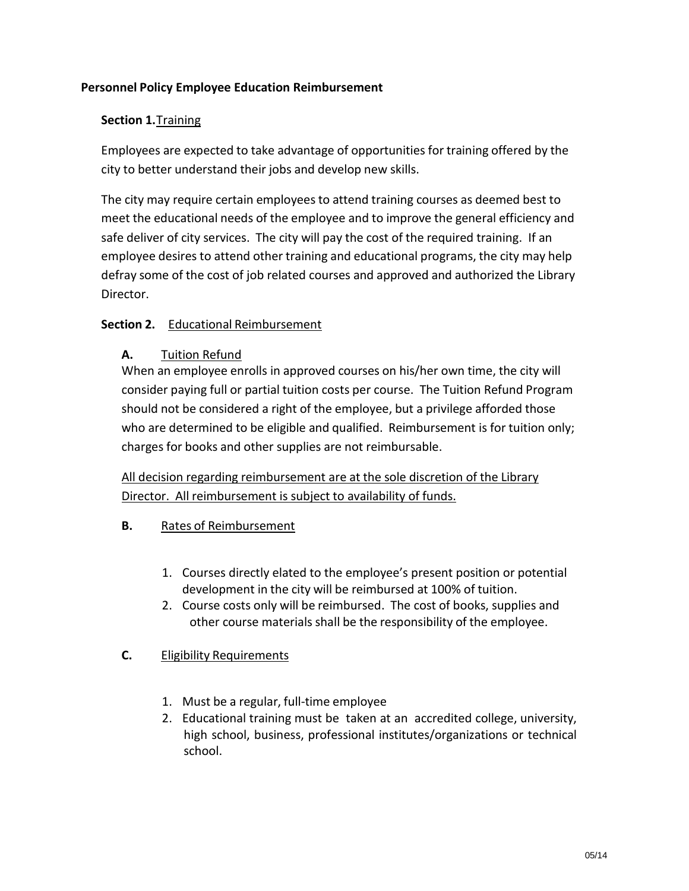## **Personnel Policy Employee Education Reimbursement**

### **Section 1.**Training

Employees are expected to take advantage of opportunities for training offered by the city to better understand their jobs and develop new skills.

The city may require certain employees to attend training courses as deemed best to meet the educational needs of the employee and to improve the general efficiency and safe deliver of city services. The city will pay the cost of the required training. If an employee desires to attend other training and educational programs, the city may help defray some of the cost of job related courses and approved and authorized the Library Director.

# **Section 2.** Educational Reimbursement

# **A.** Tuition Refund

When an employee enrolls in approved courses on his/her own time, the city will consider paying full or partial tuition costs per course. The Tuition Refund Program should not be considered a right of the employee, but a privilege afforded those who are determined to be eligible and qualified. Reimbursement is for tuition only; charges for books and other supplies are not reimbursable.

All decision regarding reimbursement are at the sole discretion of the Library Director. All reimbursement is subject to availability of funds.

### **B.** Rates of Reimbursement

- 1. Courses directly elated to the employee's present position or potential development in the city will be reimbursed at 100% of tuition.
- 2. Course costs only will be reimbursed. The cost of books, supplies and other course materials shall be the responsibility of the employee.

### **C.** Eligibility Requirements

- 1. Must be a regular, full-time employee
- 2. Educational training must be taken at an accredited college, university, high school, business, professional institutes/organizations or technical school.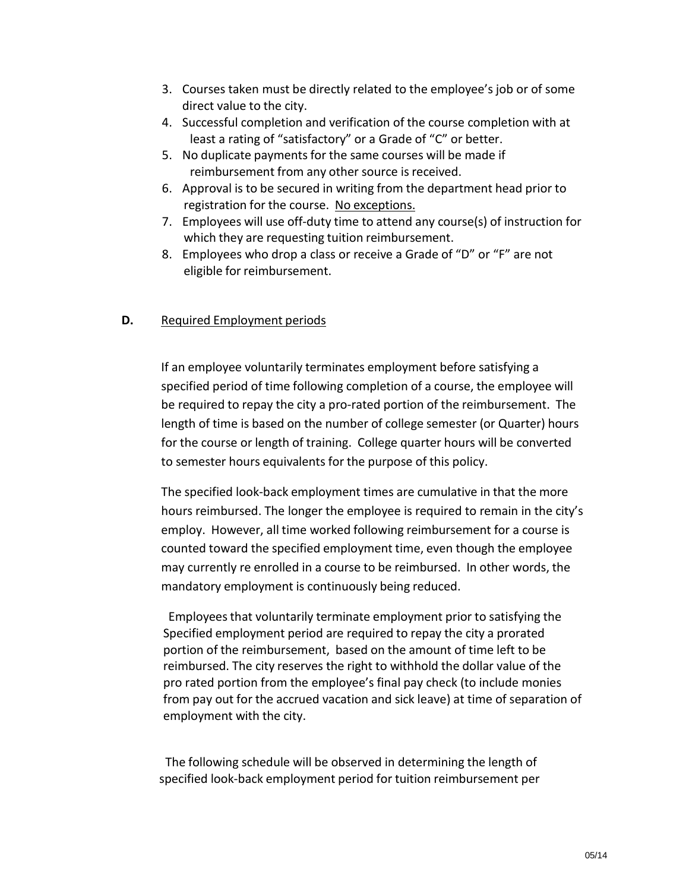- 3. Courses taken must be directly related to the employee's job or of some direct value to the city.
- 4. Successful completion and verification of the course completion with at least a rating of "satisfactory" or a Grade of "C" or better.
- 5. No duplicate payments for the same courses will be made if reimbursement from any other source is received.
- 6. Approval is to be secured in writing from the department head prior to registration for the course. No exceptions.
- 7. Employees will use off-duty time to attend any course(s) of instruction for which they are requesting tuition reimbursement.
- 8. Employees who drop a class or receive a Grade of "D" or "F" are not eligible for reimbursement.

### **D.** Required Employment periods

If an employee voluntarily terminates employment before satisfying a specified period of time following completion of a course, the employee will be required to repay the city a pro-rated portion of the reimbursement. The length of time is based on the number of college semester (or Quarter) hours for the course or length of training. College quarter hours will be converted to semester hours equivalents for the purpose of this policy.

The specified look-back employment times are cumulative in that the more hours reimbursed. The longer the employee is required to remain in the city's employ. However, all time worked following reimbursement for a course is counted toward the specified employment time, even though the employee may currently re enrolled in a course to be reimbursed. In other words, the mandatory employment is continuously being reduced.

Employeesthat voluntarily terminate employment prior to satisfying the Specified employment period are required to repay the city a prorated portion of the reimbursement, based on the amount of time left to be reimbursed. The city reserves the right to withhold the dollar value of the pro rated portion from the employee's final pay check (to include monies from pay out for the accrued vacation and sick leave) at time of separation of employment with the city.

The following schedule will be observed in determining the length of specified look-back employment period for tuition reimbursement per